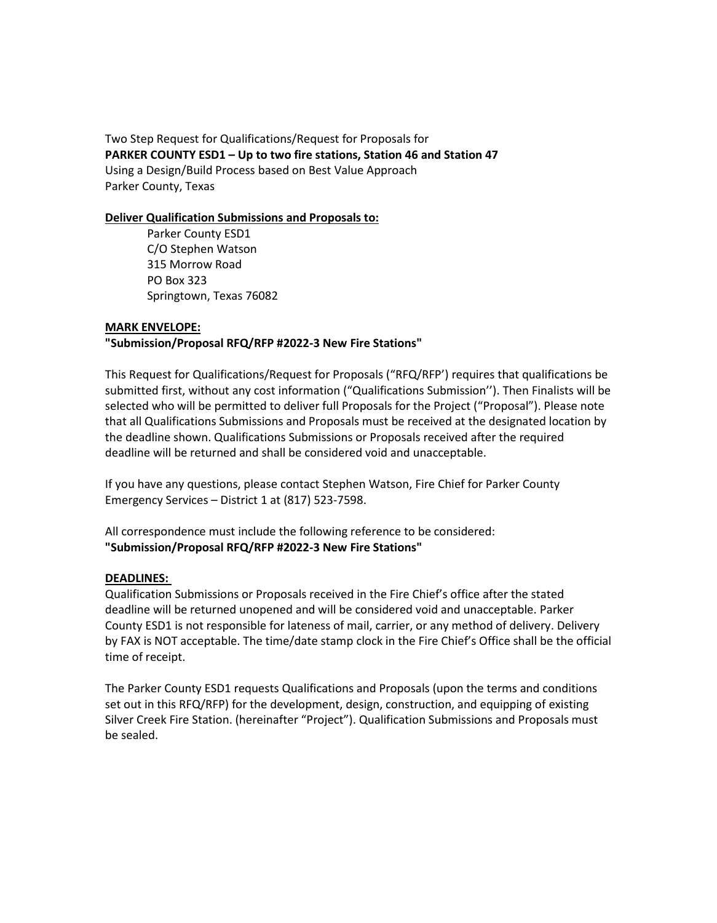Two Step Request for Qualifications/Request for Proposals for **PARKER COUNTY ESD1 – Up to two fire stations, Station 46 and Station 47** Using a Design/Build Process based on Best Value Approach Parker County, Texas

### **Deliver Qualification Submissions and Proposals to:**

Parker County ESD1 C/O Stephen Watson 315 Morrow Road PO Box 323 Springtown, Texas 76082

### **MARK ENVELOPE:**

## **"Submission/Proposal RFQ/RFP #2022-3 New Fire Stations"**

This Request for Qualifications/Request for Proposals ("RFQ/RFP') requires that qualifications be submitted first, without any cost information ("Qualifications Submission''). Then Finalists will be selected who will be permitted to deliver full Proposals for the Project ("Proposal"). Please note that all Qualifications Submissions and Proposals must be received at the designated location by the deadline shown. Qualifications Submissions or Proposals received after the required deadline will be returned and shall be considered void and unacceptable.

If you have any questions, please contact Stephen Watson, Fire Chief for Parker County Emergency Services – District 1 at (817) 523-7598.

All correspondence must include the following reference to be considered: **"Submission/Proposal RFQ/RFP #2022-3 New Fire Stations"**

#### **DEADLINES:**

Qualification Submissions or Proposals received in the Fire Chief's office after the stated deadline will be returned unopened and will be considered void and unacceptable. Parker County ESD1 is not responsible for lateness of mail, carrier, or any method of delivery. Delivery by FAX is NOT acceptable. The time/date stamp clock in the Fire Chief's Office shall be the official time of receipt.

The Parker County ESD1 requests Qualifications and Proposals (upon the terms and conditions set out in this RFQ/RFP) for the development, design, construction, and equipping of existing Silver Creek Fire Station. (hereinafter "Project"). Qualification Submissions and Proposals must be sealed.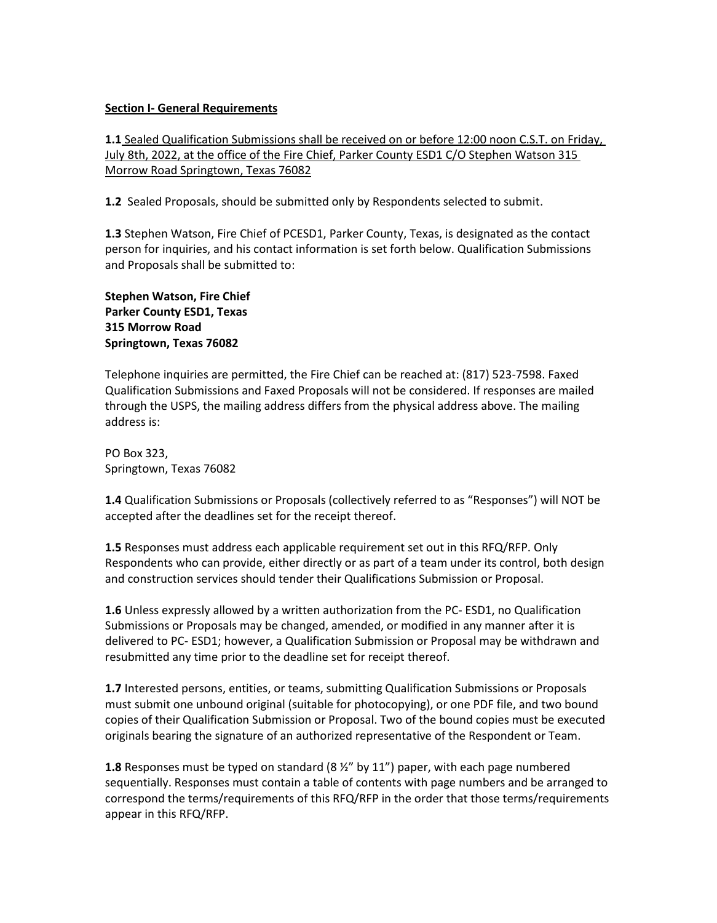### **Section I- General Requirements**

**1.1** Sealed Qualification Submissions shall be received on or before 12:00 noon C.S.T. on Friday, July 8th, 2022, at the office of the Fire Chief, Parker County ESD1 C/O Stephen Watson 315 Morrow Road Springtown, Texas 76082

**1.2** Sealed Proposals, should be submitted only by Respondents selected to submit.

**1.3** Stephen Watson, Fire Chief of PCESD1, Parker County, Texas, is designated as the contact person for inquiries, and his contact information is set forth below. Qualification Submissions and Proposals shall be submitted to:

## **Stephen Watson, Fire Chief Parker County ESD1, Texas 315 Morrow Road Springtown, Texas 76082**

Telephone inquiries are permitted, the Fire Chief can be reached at: (817) 523-7598. Faxed Qualification Submissions and Faxed Proposals will not be considered. If responses are mailed through the USPS, the mailing address differs from the physical address above. The mailing address is:

PO Box 323, Springtown, Texas 76082

**1.4** Qualification Submissions or Proposals (collectively referred to as "Responses") will NOT be accepted after the deadlines set for the receipt thereof.

**1.5** Responses must address each applicable requirement set out in this RFQ/RFP. Only Respondents who can provide, either directly or as part of a team under its control, both design and construction services should tender their Qualifications Submission or Proposal.

**1.6** Unless expressly allowed by a written authorization from the PC- ESD1, no Qualification Submissions or Proposals may be changed, amended, or modified in any manner after it is delivered to PC- ESD1; however, a Qualification Submission or Proposal may be withdrawn and resubmitted any time prior to the deadline set for receipt thereof.

**1.7** Interested persons, entities, or teams, submitting Qualification Submissions or Proposals must submit one unbound original (suitable for photocopying), or one PDF file, and two bound copies of their Qualification Submission or Proposal. Two of the bound copies must be executed originals bearing the signature of an authorized representative of the Respondent or Team.

**1.8** Responses must be typed on standard (8 ½" by 11") paper, with each page numbered sequentially. Responses must contain a table of contents with page numbers and be arranged to correspond the terms/requirements of this RFQ/RFP in the order that those terms/requirements appear in this RFQ/RFP.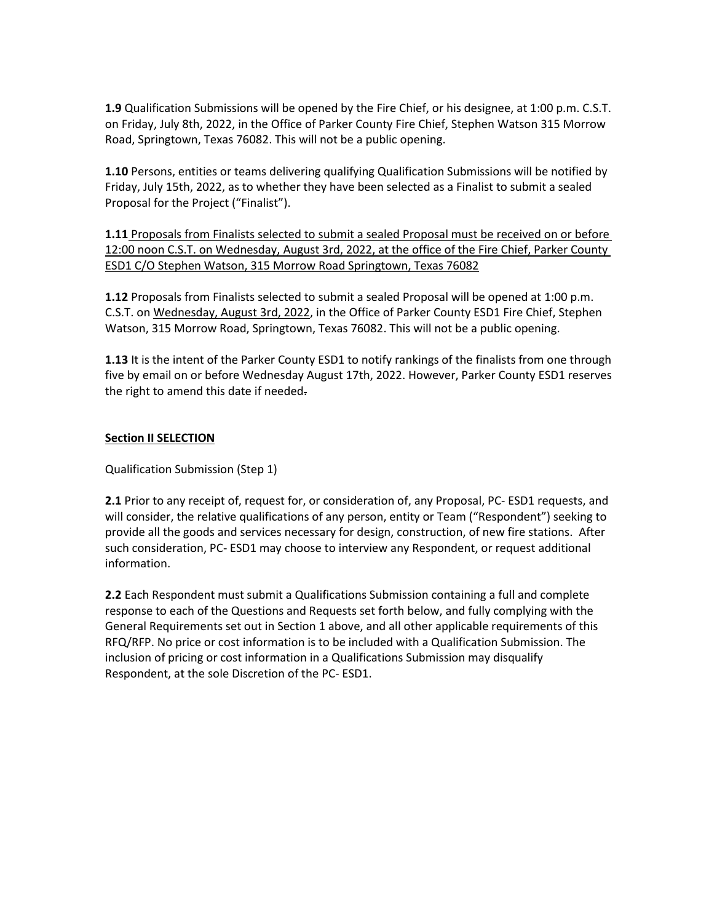**1.9** Qualification Submissions will be opened by the Fire Chief, or his designee, at 1:00 p.m. C.S.T. on Friday, July 8th, 2022, in the Office of Parker County Fire Chief, Stephen Watson 315 Morrow Road, Springtown, Texas 76082. This will not be a public opening.

**1.10** Persons, entities or teams delivering qualifying Qualification Submissions will be notified by Friday, July 15th, 2022, as to whether they have been selected as a Finalist to submit a sealed Proposal for the Project ("Finalist").

**1.11** Proposals from Finalists selected to submit a sealed Proposal must be received on or before 12:00 noon C.S.T. on Wednesday, August 3rd, 2022, at the office of the Fire Chief, Parker County ESD1 C/O Stephen Watson, 315 Morrow Road Springtown, Texas 76082

**1.12** Proposals from Finalists selected to submit a sealed Proposal will be opened at 1:00 p.m. C.S.T. on Wednesday, August 3rd, 2022, in the Office of Parker County ESD1 Fire Chief, Stephen Watson, 315 Morrow Road, Springtown, Texas 76082. This will not be a public opening.

**1.13** It is the intent of the Parker County ESD1 to notify rankings of the finalists from one through five by email on or before Wednesday August 17th, 2022. However, Parker County ESD1 reserves the right to amend this date if needed.

## **Section II SELECTION**

Qualification Submission (Step 1)

**2.1** Prior to any receipt of, request for, or consideration of, any Proposal, PC- ESD1 requests, and will consider, the relative qualifications of any person, entity or Team ("Respondent") seeking to provide all the goods and services necessary for design, construction, of new fire stations. After such consideration, PC- ESD1 may choose to interview any Respondent, or request additional information.

**2.2** Each Respondent must submit a Qualifications Submission containing a full and complete response to each of the Questions and Requests set forth below, and fully complying with the General Requirements set out in Section 1 above, and all other applicable requirements of this RFQ/RFP. No price or cost information is to be included with a Qualification Submission. The inclusion of pricing or cost information in a Qualifications Submission may disqualify Respondent, at the sole Discretion of the PC- ESD1.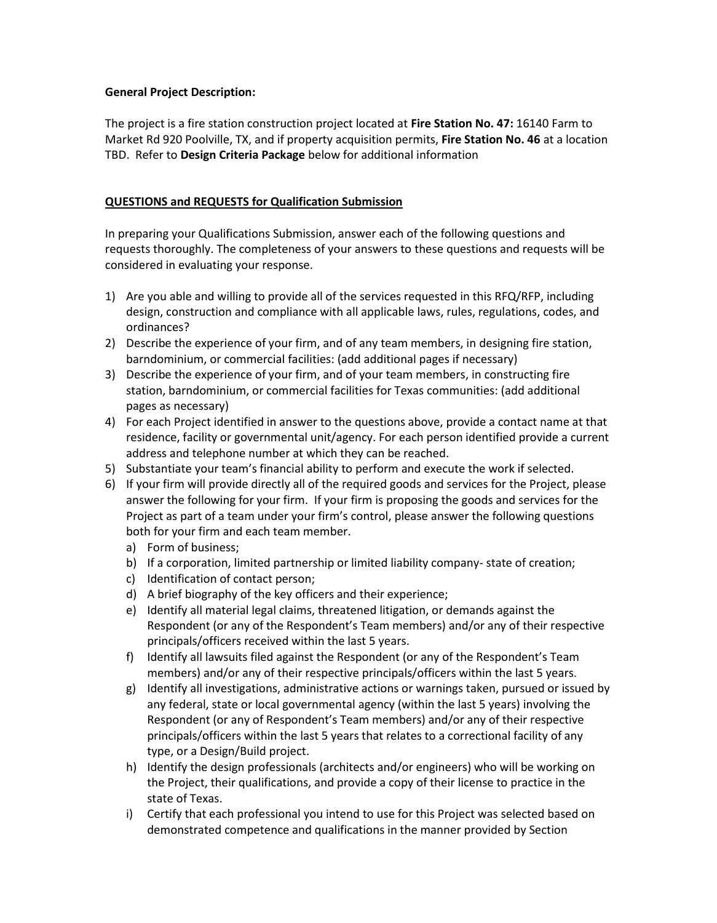## **General Project Description:**

The project is a fire station construction project located at **Fire Station No. 47:** 16140 Farm to Market Rd 920 Poolville, TX, and if property acquisition permits, **Fire Station No. 46** at a location TBD.Refer to **Design Criteria Package** below for additional information

## **QUESTIONS and REQUESTS for Qualification Submission**

In preparing your Qualifications Submission, answer each of the following questions and requests thoroughly. The completeness of your answers to these questions and requests will be considered in evaluating your response.

- 1) Are you able and willing to provide all of the services requested in this RFQ/RFP, including design, construction and compliance with all applicable laws, rules, regulations, codes, and ordinances?
- 2) Describe the experience of your firm, and of any team members, in designing fire station, barndominium, or commercial facilities: (add additional pages if necessary)
- 3) Describe the experience of your firm, and of your team members, in constructing fire station, barndominium, or commercial facilities for Texas communities: (add additional pages as necessary)
- 4) For each Project identified in answer to the questions above, provide a contact name at that residence, facility or governmental unit/agency. For each person identified provide a current address and telephone number at which they can be reached.
- 5) Substantiate your team's financial ability to perform and execute the work if selected.
- 6) If your firm will provide directly all of the required goods and services for the Project, please answer the following for your firm. If your firm is proposing the goods and services for the Project as part of a team under your firm's control, please answer the following questions both for your firm and each team member.
	- a) Form of business;
	- b) If a corporation, limited partnership or limited liability company- state of creation;
	- c) Identification of contact person;
	- d) A brief biography of the key officers and their experience;
	- e) Identify all material legal claims, threatened litigation, or demands against the Respondent (or any of the Respondent's Team members) and/or any of their respective principals/officers received within the last 5 years.
	- f) Identify all lawsuits filed against the Respondent (or any of the Respondent's Team members) and/or any of their respective principals/officers within the last 5 years.
	- g) Identify all investigations, administrative actions or warnings taken, pursued or issued by any federal, state or local governmental agency (within the last 5 years) involving the Respondent (or any of Respondent's Team members) and/or any of their respective principals/officers within the last 5 years that relates to a correctional facility of any type, or a Design/Build project.
	- h) Identify the design professionals (architects and/or engineers) who will be working on the Project, their qualifications, and provide a copy of their license to practice in the state of Texas.
	- i) Certify that each professional you intend to use for this Project was selected based on demonstrated competence and qualifications in the manner provided by Section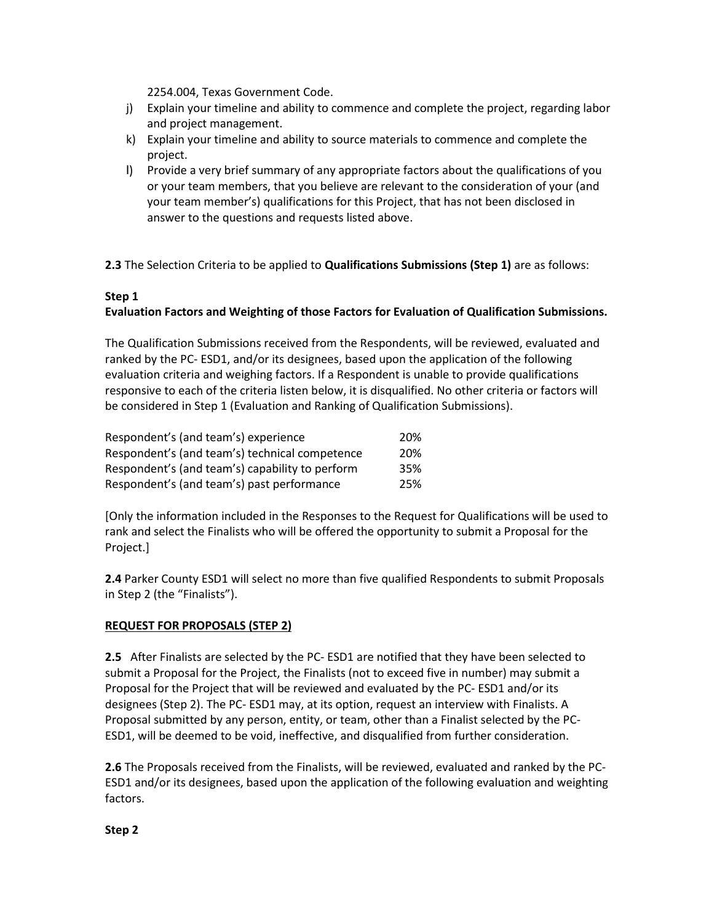2254.004, Texas Government Code.

- j) Explain your timeline and ability to commence and complete the project, regarding labor and project management.
- k) Explain your timeline and ability to source materials to commence and complete the project.
- l) Provide a very brief summary of any appropriate factors about the qualifications of you or your team members, that you believe are relevant to the consideration of your (and your team member's) qualifications for this Project, that has not been disclosed in answer to the questions and requests listed above.

**2.3** The Selection Criteria to be applied to **Qualifications Submissions (Step 1)** are as follows:

# **Step 1**

# **Evaluation Factors and Weighting of those Factors for Evaluation of Qualification Submissions.**

The Qualification Submissions received from the Respondents, will be reviewed, evaluated and ranked by the PC- ESD1, and/or its designees, based upon the application of the following evaluation criteria and weighing factors. If a Respondent is unable to provide qualifications responsive to each of the criteria listen below, it is disqualified. No other criteria or factors will be considered in Step 1 (Evaluation and Ranking of Qualification Submissions).

| Respondent's (and team's) experience            | 20% |
|-------------------------------------------------|-----|
| Respondent's (and team's) technical competence  | 20% |
| Respondent's (and team's) capability to perform | 35% |
| Respondent's (and team's) past performance      | 25% |

[Only the information included in the Responses to the Request for Qualifications will be used to rank and select the Finalists who will be offered the opportunity to submit a Proposal for the Project.]

**2.4** Parker County ESD1 will select no more than five qualified Respondents to submit Proposals in Step 2 (the "Finalists").

## **REQUEST FOR PROPOSALS (STEP 2)**

**2.5** After Finalists are selected by the PC- ESD1 are notified that they have been selected to submit a Proposal for the Project, the Finalists (not to exceed five in number) may submit a Proposal for the Project that will be reviewed and evaluated by the PC- ESD1 and/or its designees (Step 2). The PC- ESD1 may, at its option, request an interview with Finalists. A Proposal submitted by any person, entity, or team, other than a Finalist selected by the PC-ESD1, will be deemed to be void, ineffective, and disqualified from further consideration.

**2.6** The Proposals received from the Finalists, will be reviewed, evaluated and ranked by the PC-ESD1 and/or its designees, based upon the application of the following evaluation and weighting factors.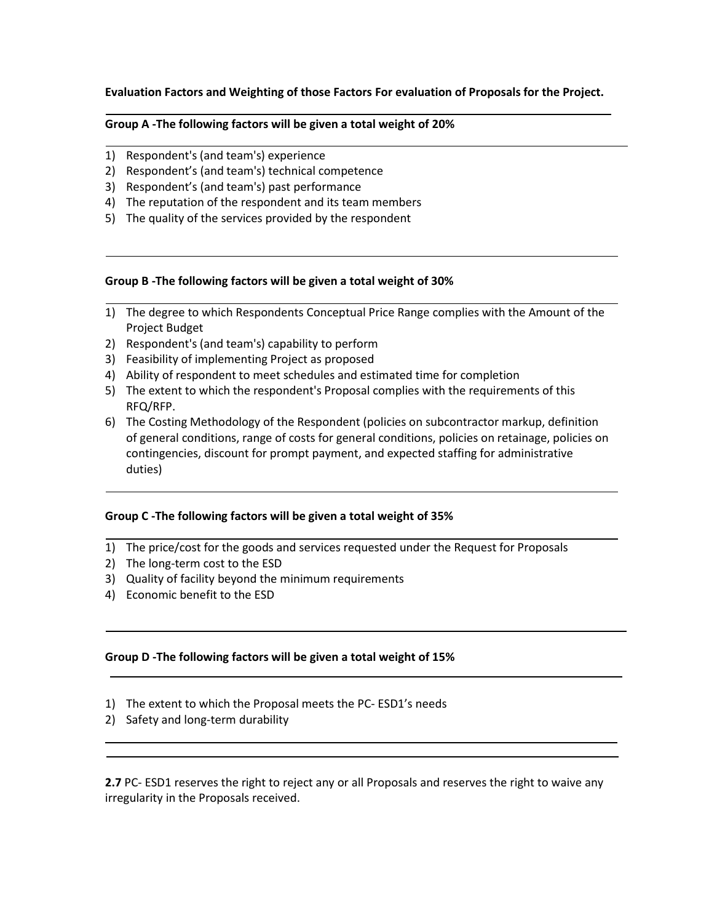## **Evaluation Factors and Weighting of those Factors For evaluation of Proposals for the Project.**

#### **Group A -The following factors will be given a total weight of 20%**

- 1) Respondent's (and team's) experience
- 2) Respondent's (and team's) technical competence
- 3) Respondent's (and team's) past performance
- 4) The reputation of the respondent and its team members
- 5) The quality of the services provided by the respondent

#### **Group B -The following factors will be given a total weight of 30%**

- 1) The degree to which Respondents Conceptual Price Range complies with the Amount of the Project Budget
- 2) Respondent's (and team's) capability to perform
- 3) Feasibility of implementing Project as proposed
- 4) Ability of respondent to meet schedules and estimated time for completion
- 5) The extent to which the respondent's Proposal complies with the requirements of this RFQ/RFP.
- 6) The Costing Methodology of the Respondent (policies on subcontractor markup, definition of general conditions, range of costs for general conditions, policies on retainage, policies on contingencies, discount for prompt payment, and expected staffing for administrative duties)

#### **Group C -The following factors will be given a total weight of 35%**

- 1) The price/cost for the goods and services requested under the Request for Proposals
- 2) The long-term cost to the ESD
- 3) Quality of facility beyond the minimum requirements
- 4) Economic benefit to the ESD

#### **Group D -The following factors will be given a total weight of 15%**

- 1) The extent to which the Proposal meets the PC- ESD1's needs
- 2) Safety and long-term durability

**2.7** PC- ESD1 reserves the right to reject any or all Proposals and reserves the right to waive any irregularity in the Proposals received.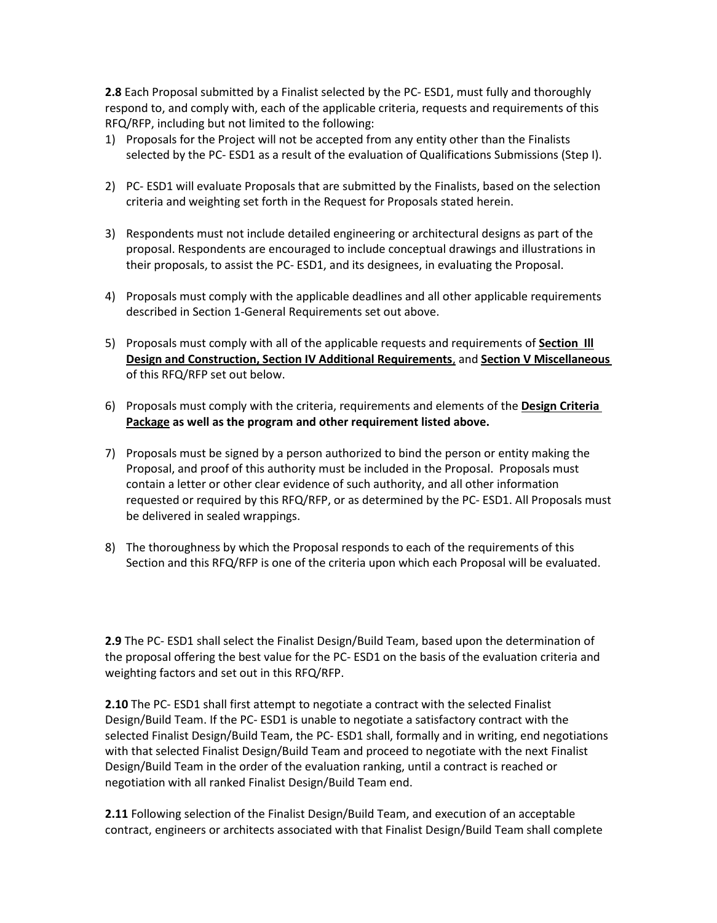**2.8** Each Proposal submitted by a Finalist selected by the PC- ESD1, must fully and thoroughly respond to, and comply with, each of the applicable criteria, requests and requirements of this RFQ/RFP, including but not limited to the following:

- 1) Proposals for the Project will not be accepted from any entity other than the Finalists selected by the PC- ESD1 as a result of the evaluation of Qualifications Submissions (Step I).
- 2) PC- ESD1 will evaluate Proposals that are submitted by the Finalists, based on the selection criteria and weighting set forth in the Request for Proposals stated herein.
- 3) Respondents must not include detailed engineering or architectural designs as part of the proposal. Respondents are encouraged to include conceptual drawings and illustrations in their proposals, to assist the PC- ESD1, and its designees, in evaluating the Proposal.
- 4) Proposals must comply with the applicable deadlines and all other applicable requirements described in Section 1-General Requirements set out above.
- 5) Proposals must comply with all of the applicable requests and requirements of **Section Ill Design and Construction, Section IV Additional Requirements**, and **Section V Miscellaneous**  of this RFQ/RFP set out below.
- 6) Proposals must comply with the criteria, requirements and elements of the **Design Criteria Package as well as the program and other requirement listed above.**
- 7) Proposals must be signed by a person authorized to bind the person or entity making the Proposal, and proof of this authority must be included in the Proposal. Proposals must contain a letter or other clear evidence of such authority, and all other information requested or required by this RFQ/RFP, or as determined by the PC- ESD1. All Proposals must be delivered in sealed wrappings.
- 8) The thoroughness by which the Proposal responds to each of the requirements of this Section and this RFQ/RFP is one of the criteria upon which each Proposal will be evaluated.

**2.9** The PC- ESD1 shall select the Finalist Design/Build Team, based upon the determination of the proposal offering the best value for the PC- ESD1 on the basis of the evaluation criteria and weighting factors and set out in this RFQ/RFP.

**2.10** The PC- ESD1 shall first attempt to negotiate a contract with the selected Finalist Design/Build Team. If the PC- ESD1 is unable to negotiate a satisfactory contract with the selected Finalist Design/Build Team, the PC- ESD1 shall, formally and in writing, end negotiations with that selected Finalist Design/Build Team and proceed to negotiate with the next Finalist Design/Build Team in the order of the evaluation ranking, until a contract is reached or negotiation with all ranked Finalist Design/Build Team end.

**2.11** Following selection of the Finalist Design/Build Team, and execution of an acceptable contract, engineers or architects associated with that Finalist Design/Build Team shall complete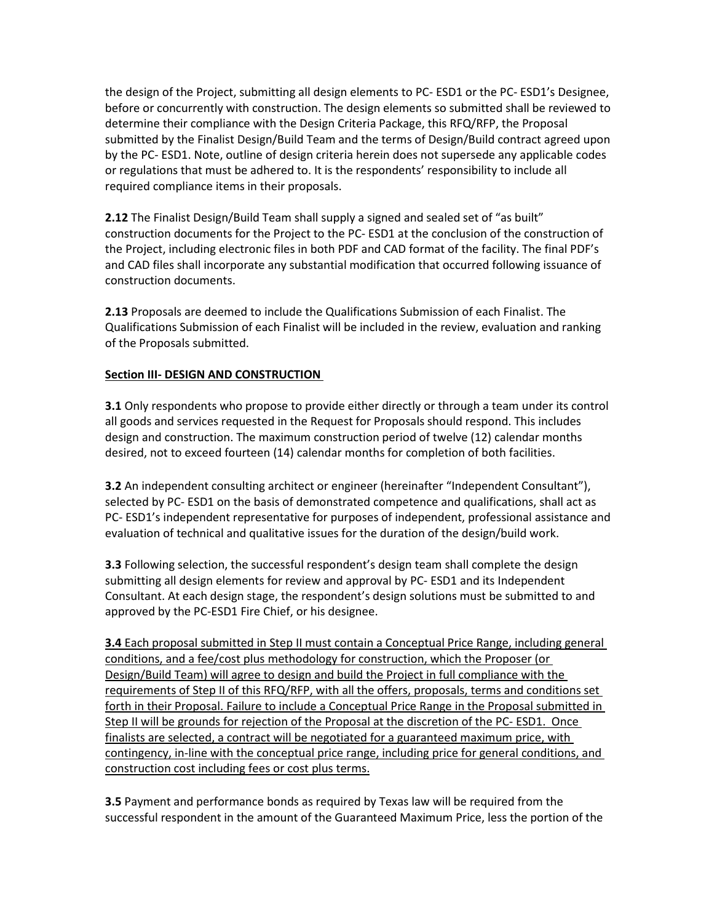the design of the Project, submitting all design elements to PC- ESD1 or the PC- ESD1's Designee, before or concurrently with construction. The design elements so submitted shall be reviewed to determine their compliance with the Design Criteria Package, this RFQ/RFP, the Proposal submitted by the Finalist Design/Build Team and the terms of Design/Build contract agreed upon by the PC- ESD1. Note, outline of design criteria herein does not supersede any applicable codes or regulations that must be adhered to. It is the respondents' responsibility to include all required compliance items in their proposals.

**2.12** The Finalist Design/Build Team shall supply a signed and sealed set of "as built" construction documents for the Project to the PC- ESD1 at the conclusion of the construction of the Project, including electronic files in both PDF and CAD format of the facility. The final PDF's and CAD files shall incorporate any substantial modification that occurred following issuance of construction documents.

**2.13** Proposals are deemed to include the Qualifications Submission of each Finalist. The Qualifications Submission of each Finalist will be included in the review, evaluation and ranking of the Proposals submitted.

## **Section III- DESIGN AND CONSTRUCTION**

**3.1** Only respondents who propose to provide either directly or through a team under its control all goods and services requested in the Request for Proposals should respond. This includes design and construction. The maximum construction period of twelve (12) calendar months desired, not to exceed fourteen (14) calendar months for completion of both facilities.

**3.2** An independent consulting architect or engineer (hereinafter "Independent Consultant"), selected by PC- ESD1 on the basis of demonstrated competence and qualifications, shall act as PC- ESD1's independent representative for purposes of independent, professional assistance and evaluation of technical and qualitative issues for the duration of the design/build work.

**3.3** Following selection, the successful respondent's design team shall complete the design submitting all design elements for review and approval by PC- ESD1 and its Independent Consultant. At each design stage, the respondent's design solutions must be submitted to and approved by the PC-ESD1 Fire Chief, or his designee.

**3.4** Each proposal submitted in Step II must contain a Conceptual Price Range, including general conditions, and a fee/cost plus methodology for construction, which the Proposer (or Design/Build Team) will agree to design and build the Project in full compliance with the requirements of Step II of this RFQ/RFP, with all the offers, proposals, terms and conditions set forth in their Proposal. Failure to include a Conceptual Price Range in the Proposal submitted in Step II will be grounds for rejection of the Proposal at the discretion of the PC- ESD1. Once finalists are selected, a contract will be negotiated for a guaranteed maximum price, with contingency, in-line with the conceptual price range, including price for general conditions, and construction cost including fees or cost plus terms.

**3.5** Payment and performance bonds as required by Texas law will be required from the successful respondent in the amount of the Guaranteed Maximum Price, less the portion of the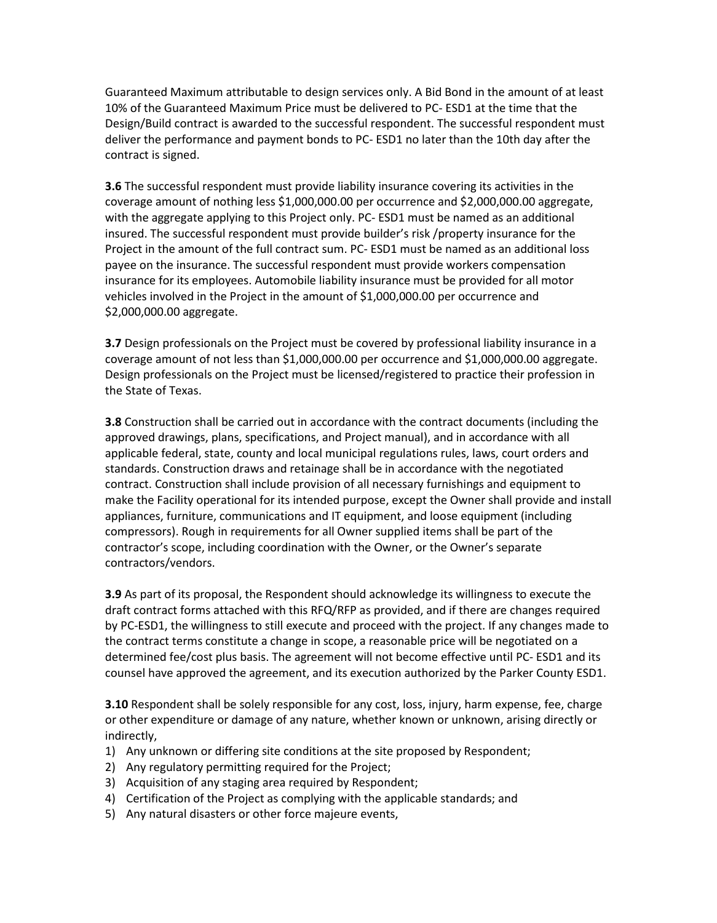Guaranteed Maximum attributable to design services only. A Bid Bond in the amount of at least 10% of the Guaranteed Maximum Price must be delivered to PC- ESD1 at the time that the Design/Build contract is awarded to the successful respondent. The successful respondent must deliver the performance and payment bonds to PC- ESD1 no later than the 10th day after the contract is signed.

**3.6** The successful respondent must provide liability insurance covering its activities in the coverage amount of nothing less \$1,000,000.00 per occurrence and \$2,000,000.00 aggregate, with the aggregate applying to this Project only. PC- ESD1 must be named as an additional insured. The successful respondent must provide builder's risk /property insurance for the Project in the amount of the full contract sum. PC- ESD1 must be named as an additional loss payee on the insurance. The successful respondent must provide workers compensation insurance for its employees. Automobile liability insurance must be provided for all motor vehicles involved in the Project in the amount of \$1,000,000.00 per occurrence and \$2,000,000.00 aggregate.

**3.7** Design professionals on the Project must be covered by professional liability insurance in a coverage amount of not less than \$1,000,000.00 per occurrence and \$1,000,000.00 aggregate. Design professionals on the Project must be licensed/registered to practice their profession in the State of Texas.

**3.8** Construction shall be carried out in accordance with the contract documents (including the approved drawings, plans, specifications, and Project manual), and in accordance with all applicable federal, state, county and local municipal regulations rules, laws, court orders and standards. Construction draws and retainage shall be in accordance with the negotiated contract. Construction shall include provision of all necessary furnishings and equipment to make the Facility operational for its intended purpose, except the Owner shall provide and install appliances, furniture, communications and IT equipment, and loose equipment (including compressors). Rough in requirements for all Owner supplied items shall be part of the contractor's scope, including coordination with the Owner, or the Owner's separate contractors/vendors.

**3.9** As part of its proposal, the Respondent should acknowledge its willingness to execute the draft contract forms attached with this RFQ/RFP as provided, and if there are changes required by PC-ESD1, the willingness to still execute and proceed with the project. If any changes made to the contract terms constitute a change in scope, a reasonable price will be negotiated on a determined fee/cost plus basis. The agreement will not become effective until PC- ESD1 and its counsel have approved the agreement, and its execution authorized by the Parker County ESD1.

**3.10** Respondent shall be solely responsible for any cost, loss, injury, harm expense, fee, charge or other expenditure or damage of any nature, whether known or unknown, arising directly or indirectly,

- 1) Any unknown or differing site conditions at the site proposed by Respondent;
- 2) Any regulatory permitting required for the Project;
- 3) Acquisition of any staging area required by Respondent;
- 4) Certification of the Project as complying with the applicable standards; and
- 5) Any natural disasters or other force majeure events,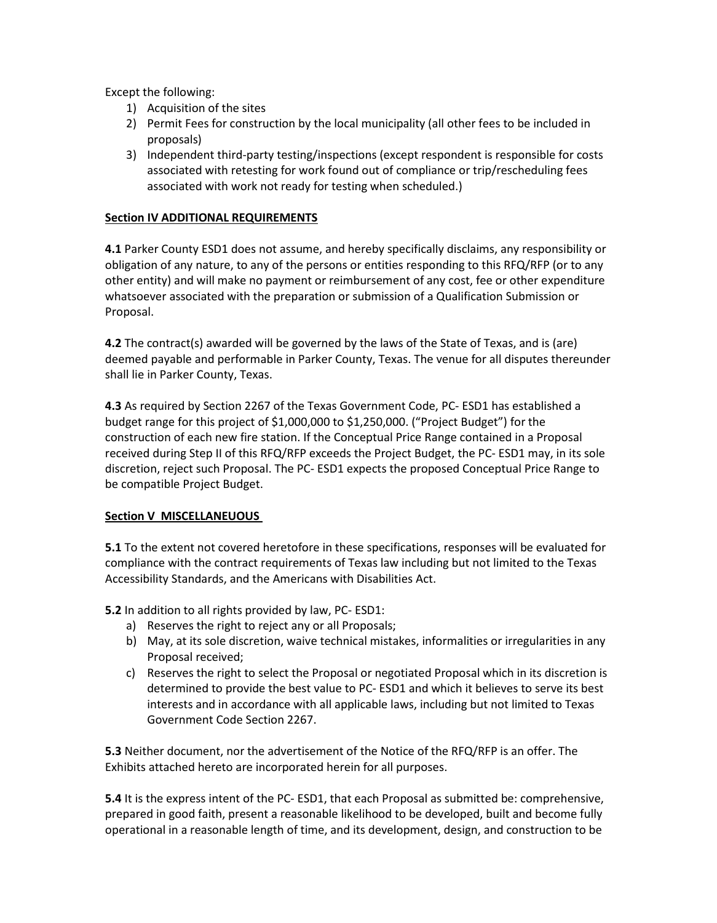Except the following:

- 1) Acquisition of the sites
- 2) Permit Fees for construction by the local municipality (all other fees to be included in proposals)
- 3) Independent third-party testing/inspections (except respondent is responsible for costs associated with retesting for work found out of compliance or trip/rescheduling fees associated with work not ready for testing when scheduled.)

## **Section IV ADDITIONAL REQUIREMENTS**

**4.1** Parker County ESD1 does not assume, and hereby specifically disclaims, any responsibility or obligation of any nature, to any of the persons or entities responding to this RFQ/RFP (or to any other entity) and will make no payment or reimbursement of any cost, fee or other expenditure whatsoever associated with the preparation or submission of a Qualification Submission or Proposal.

**4.2** The contract(s) awarded will be governed by the laws of the State of Texas, and is (are) deemed payable and performable in Parker County, Texas. The venue for all disputes thereunder shall lie in Parker County, Texas.

**4.3** As required by Section 2267 of the Texas Government Code, PC- ESD1 has established a budget range for this project of \$1,000,000 to \$1,250,000. ("Project Budget") for the construction of each new fire station. If the Conceptual Price Range contained in a Proposal received during Step II of this RFQ/RFP exceeds the Project Budget, the PC- ESD1 may, in its sole discretion, reject such Proposal. The PC- ESD1 expects the proposed Conceptual Price Range to be compatible Project Budget.

## **Section V MISCELLANEUOUS**

**5.1** To the extent not covered heretofore in these specifications, responses will be evaluated for compliance with the contract requirements of Texas law including but not limited to the Texas Accessibility Standards, and the Americans with Disabilities Act.

**5.2** In addition to all rights provided by law, PC- ESD1:

- a) Reserves the right to reject any or all Proposals;
- b) May, at its sole discretion, waive technical mistakes, informalities or irregularities in any Proposal received;
- c) Reserves the right to select the Proposal or negotiated Proposal which in its discretion is determined to provide the best value to PC- ESD1 and which it believes to serve its best interests and in accordance with all applicable laws, including but not limited to Texas Government Code Section 2267.

**5.3** Neither document, nor the advertisement of the Notice of the RFQ/RFP is an offer. The Exhibits attached hereto are incorporated herein for all purposes.

**5.4** It is the express intent of the PC- ESD1, that each Proposal as submitted be: comprehensive, prepared in good faith, present a reasonable likelihood to be developed, built and become fully operational in a reasonable length of time, and its development, design, and construction to be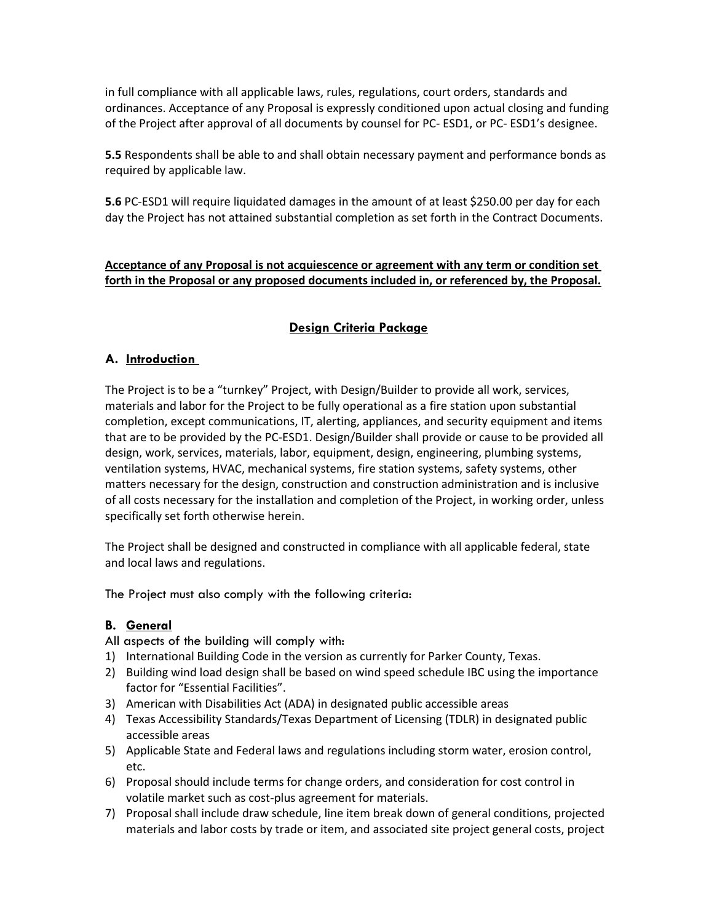in full compliance with all applicable laws, rules, regulations, court orders, standards and ordinances. Acceptance of any Proposal is expressly conditioned upon actual closing and funding of the Project after approval of all documents by counsel for PC- ESD1, or PC- ESD1's designee.

**5.5** Respondents shall be able to and shall obtain necessary payment and performance bonds as required by applicable law.

**5.6** PC-ESD1 will require liquidated damages in the amount of at least \$250.00 per day for each day the Project has not attained substantial completion as set forth in the Contract Documents.

## **Acceptance of any Proposal is not acquiescence or agreement with any term or condition set forth in the Proposal or any proposed documents included in, or referenced by, the Proposal.**

# **Design Criteria Package**

## **A. Introduction**

The Project is to be a "turnkey" Project, with Design/Builder to provide all work, services, materials and labor for the Project to be fully operational as a fire station upon substantial completion, except communications, IT, alerting, appliances, and security equipment and items that are to be provided by the PC-ESD1. Design/Builder shall provide or cause to be provided all design, work, services, materials, labor, equipment, design, engineering, plumbing systems, ventilation systems, HVAC, mechanical systems, fire station systems, safety systems, other matters necessary for the design, construction and construction administration and is inclusive of all costs necessary for the installation and completion of the Project, in working order, unless specifically set forth otherwise herein.

The Project shall be designed and constructed in compliance with all applicable federal, state and local laws and regulations.

The Project must also comply with the following criteria:

## **B. General**

All aspects of the building will comply with:

- 1) International Building Code in the version as currently for Parker County, Texas.
- 2) Building wind load design shall be based on wind speed schedule IBC using the importance factor for "Essential Facilities".
- 3) American with Disabilities Act (ADA) in designated public accessible areas
- 4) Texas Accessibility Standards/Texas Department of Licensing (TDLR) in designated public accessible areas
- 5) Applicable State and Federal laws and regulations including storm water, erosion control, etc.
- 6) Proposal should include terms for change orders, and consideration for cost control in volatile market such as cost-plus agreement for materials.
- 7) Proposal shall include draw schedule, line item break down of general conditions, projected materials and labor costs by trade or item, and associated site project general costs, project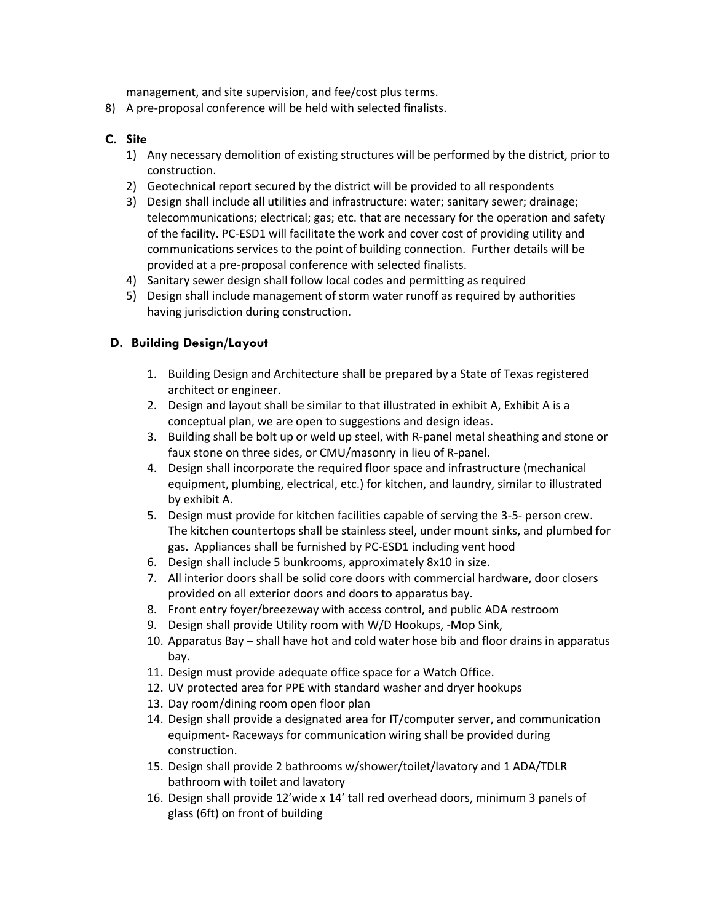management, and site supervision, and fee/cost plus terms.

8) A pre-proposal conference will be held with selected finalists.

# **C. Site**

- 1) Any necessary demolition of existing structures will be performed by the district, prior to construction.
- 2) Geotechnical report secured by the district will be provided to all respondents
- 3) Design shall include all utilities and infrastructure: water; sanitary sewer; drainage; telecommunications; electrical; gas; etc. that are necessary for the operation and safety of the facility. PC-ESD1 will facilitate the work and cover cost of providing utility and communications services to the point of building connection. Further details will be provided at a pre-proposal conference with selected finalists.
- 4) Sanitary sewer design shall follow local codes and permitting as required
- 5) Design shall include management of storm water runoff as required by authorities having jurisdiction during construction.

# **D. Building Design/Layout**

- 1. Building Design and Architecture shall be prepared by a State of Texas registered architect or engineer.
- 2. Design and layout shall be similar to that illustrated in exhibit A, Exhibit A is a conceptual plan, we are open to suggestions and design ideas.
- 3. Building shall be bolt up or weld up steel, with R-panel metal sheathing and stone or faux stone on three sides, or CMU/masonry in lieu of R-panel.
- 4. Design shall incorporate the required floor space and infrastructure (mechanical equipment, plumbing, electrical, etc.) for kitchen, and laundry, similar to illustrated by exhibit A.
- 5. Design must provide for kitchen facilities capable of serving the 3-5- person crew. The kitchen countertops shall be stainless steel, under mount sinks, and plumbed for gas. Appliances shall be furnished by PC-ESD1 including vent hood
- 6. Design shall include 5 bunkrooms, approximately 8x10 in size.
- 7. All interior doors shall be solid core doors with commercial hardware, door closers provided on all exterior doors and doors to apparatus bay.
- 8. Front entry foyer/breezeway with access control, and public ADA restroom
- 9. Design shall provide Utility room with W/D Hookups, -Mop Sink,
- 10. Apparatus Bay shall have hot and cold water hose bib and floor drains in apparatus bay.
- 11. Design must provide adequate office space for a Watch Office.
- 12. UV protected area for PPE with standard washer and dryer hookups
- 13. Day room/dining room open floor plan
- 14. Design shall provide a designated area for IT/computer server, and communication equipment- Raceways for communication wiring shall be provided during construction.
- 15. Design shall provide 2 bathrooms w/shower/toilet/lavatory and 1 ADA/TDLR bathroom with toilet and lavatory
- 16. Design shall provide 12'wide x 14' tall red overhead doors, minimum 3 panels of glass (6ft) on front of building